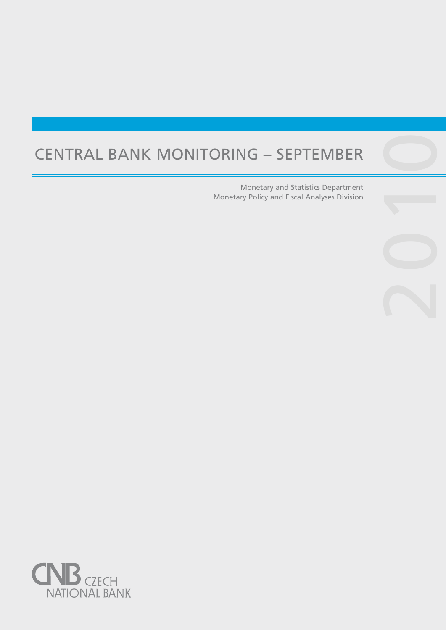# Central Bank Monitoring – September

Central banks are not universities and one would

purpose, such as, to lay the ground for the satisfac-

Monetary and Statistics Department Monetary Policy and Fiscal Analyses Division 2010

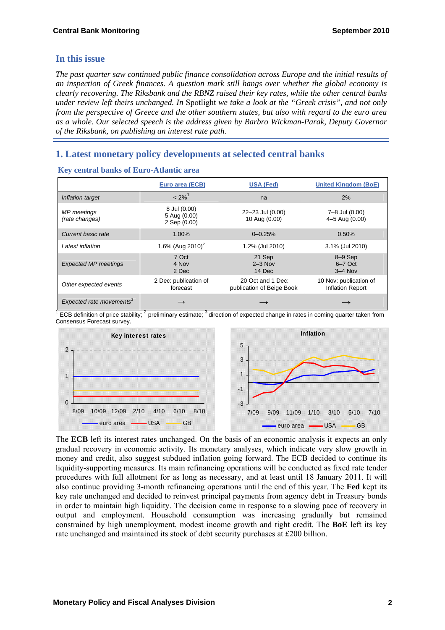# **In this issue**

*The past quarter saw continued public finance consolidation across Europe and the initial results of an inspection of Greek finances. A question mark still hangs over whether the global economy is clearly recovering. The Riksbank and the RBNZ raised their key rates, while the other central banks under review left theirs unchanged. In* Spotlight *we take a look at the "Greek crisis", and not only from the perspective of Greece and the other southern states, but also with regard to the euro area as a whole. Our selected speech is the address given by Barbro Wickman-Parak, Deputy Governor of the Riksbank, on publishing an interest rate path.* 

# **1. Latest monetary policy developments at selected central banks**

|                                      | Euro area (ECB)                              | <b>USA (Fed)</b>                               | <b>United Kingdom (BoE)</b>                |
|--------------------------------------|----------------------------------------------|------------------------------------------------|--------------------------------------------|
| Inflation target                     | $< 2\%$ <sup>1</sup>                         | na                                             | 2%                                         |
| MP meetings<br>(rate changes)        | 8 Jul (0.00)<br>5 Aug (0.00)<br>2 Sep (0.00) | 22-23 Jul (0.00)<br>10 Aug (0.00)              | 7-8 Jul (0.00)<br>4-5 Aug (0.00)           |
| Current basic rate                   | 1.00%                                        | $0 - 0.25%$                                    | 0.50%                                      |
| Latest inflation                     | 1.6% (Aug 2010) <sup>2</sup>                 | 1.2% (Jul 2010)                                | 3.1% (Jul 2010)                            |
| <b>Expected MP meetings</b>          | 7 Oct<br>4 Nov<br>2 Dec                      | 21 Sep<br>$2 - 3$ Nov<br>14 Dec                | $8-9$ Sep<br>$6-7$ Oct<br>$3-4$ Nov        |
| Other expected events                | 2 Dec: publication of<br>forecast            | 20 Oct and 1 Dec:<br>publication of Beige Book | 10 Nov: publication of<br>Inflation Report |
| Expected rate movements <sup>3</sup> | $\rightarrow$                                |                                                |                                            |

#### **Key central banks of Euro-Atlantic area**

<sup>1</sup> ECB definition of price stability;  $2$  preliminary estimate;  $3$  direction of expected change in rates in coming quarter taken from Consensus Forecast survey.



The **ECB** left its interest rates unchanged. On the basis of an economic analysis it expects an only gradual recovery in economic activity. Its monetary analyses, which indicate very slow growth in money and credit, also suggest subdued inflation going forward. The ECB decided to continue its liquidity-supporting measures. Its main refinancing operations will be conducted as fixed rate tender procedures with full allotment for as long as necessary, and at least until 18 January 2011. It will also continue providing 3-month refinancing operations until the end of this year. The **Fed** kept its key rate unchanged and decided to reinvest principal payments from agency debt in Treasury bonds in order to maintain high liquidity. The decision came in response to a slowing pace of recovery in output and employment. Household consumption was increasing gradually but remained constrained by high unemployment, modest income growth and tight credit. The **BoE** left its key rate unchanged and maintained its stock of debt security purchases at £200 billion.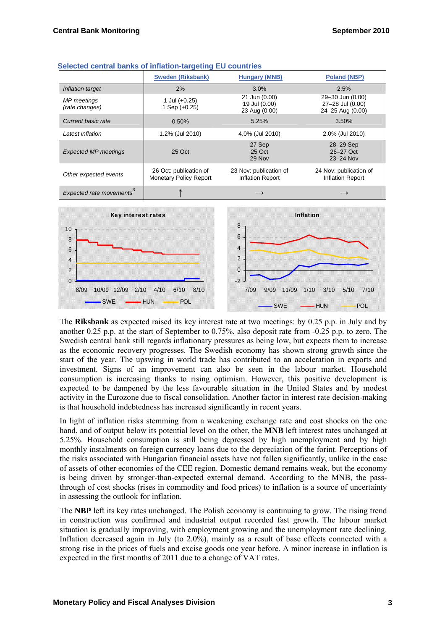|                                      | <b>Sweden (Riksbank)</b>                                | <b>Hungary (MNB)</b>                              | <b>Poland (NBP)</b>                                      |
|--------------------------------------|---------------------------------------------------------|---------------------------------------------------|----------------------------------------------------------|
| Inflation target                     | 2%                                                      | 3.0%                                              | 2.5%                                                     |
| MP meetings<br>(rate changes)        | 1 Jul $(+0.25)$<br>1 Sep $(+0.25)$                      | 21 Jun (0.00)<br>19 Jul (0.00)<br>23 Aug (0.00)   | 29-30 Jun (0.00)<br>27-28 Jul (0.00)<br>24-25 Aug (0.00) |
| Current basic rate                   | 0.50%                                                   | 5.25%                                             | 3.50%                                                    |
| Latest inflation                     | 1.2% (Jul 2010)                                         | 4.0% (Jul 2010)                                   | 2.0% (Jul 2010)                                          |
| <b>Expected MP meetings</b>          | 25 Oct                                                  | 27 Sep<br>25 Oct<br>29 Nov                        | 28-29 Sep<br>26-27 Oct<br>23-24 Nov                      |
| Other expected events                | 26 Oct: publication of<br><b>Monetary Policy Report</b> | 23 Nov: publication of<br><b>Inflation Report</b> | 24 Nov: publication of<br><b>Inflation Report</b>        |
| Expected rate movements <sup>3</sup> |                                                         |                                                   |                                                          |



The **Riksbank** as expected raised its key interest rate at two meetings: by 0.25 p.p. in July and by another 0.25 p.p. at the start of September to 0.75%, also deposit rate from -0.25 p.p. to zero. The Swedish central bank still regards inflationary pressures as being low, but expects them to increase as the economic recovery progresses. The Swedish economy has shown strong growth since the start of the year. The upswing in world trade has contributed to an acceleration in exports and investment. Signs of an improvement can also be seen in the labour market. Household consumption is increasing thanks to rising optimism. However, this positive development is expected to be dampened by the less favourable situation in the United States and by modest activity in the Eurozone due to fiscal consolidation. Another factor in interest rate decision-making is that household indebtedness has increased significantly in recent years.

In light of inflation risks stemming from a weakening exchange rate and cost shocks on the one hand, and of output below its potential level on the other, the **MNB** left interest rates unchanged at 5.25%. Household consumption is still being depressed by high unemployment and by high monthly instalments on foreign currency loans due to the depreciation of the forint. Perceptions of the risks associated with Hungarian financial assets have not fallen significantly, unlike in the case of assets of other economies of the CEE region. Domestic demand remains weak, but the economy is being driven by stronger-than-expected external demand. According to the MNB, the passthrough of cost shocks (rises in commodity and food prices) to inflation is a source of uncertainty in assessing the outlook for inflation.

The **NBP** left its key rates unchanged. The Polish economy is continuing to grow. The rising trend in construction was confirmed and industrial output recorded fast growth. The labour market situation is gradually improving, with employment growing and the unemployment rate declining. Inflation decreased again in July (to 2.0%), mainly as a result of base effects connected with a strong rise in the prices of fuels and excise goods one year before. A minor increase in inflation is expected in the first months of 2011 due to a change of VAT rates.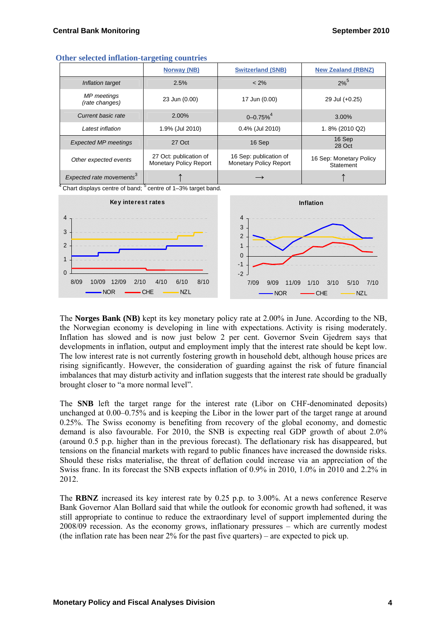| -<br>$\sim$                          |                                                         |                                                         |                                      |  |
|--------------------------------------|---------------------------------------------------------|---------------------------------------------------------|--------------------------------------|--|
|                                      | Norway (NB)                                             | <b>Switzerland (SNB)</b>                                | <b>New Zealand (RBNZ)</b>            |  |
| Inflation target                     | 2.5%                                                    | $< 2\%$                                                 | $2\%^{5}$                            |  |
| <b>MP</b> meetings<br>(rate changes) | 23 Jun (0.00)                                           | 17 Jun (0.00)                                           | 29 Jul (+0.25)                       |  |
| Current basic rate                   | 2.00%                                                   | $0 - 0.75%$ <sup>4</sup>                                | 3.00%                                |  |
| Latest inflation                     | 1.9% (Jul 2010)                                         | 0.4% (Jul 2010)                                         | 1.8% (2010 Q2)                       |  |
| <b>Expected MP meetings</b>          | 27 Oct                                                  | 16 Sep                                                  | 16 Sep<br>28 Oct                     |  |
| Other expected events                | 27 Oct: publication of<br><b>Monetary Policy Report</b> | 16 Sep: publication of<br><b>Monetary Policy Report</b> | 16 Sep: Monetary Policy<br>Statement |  |
| Expected rate movements <sup>3</sup> |                                                         | $\longrightarrow$                                       |                                      |  |

#### **Other selected inflation-targeting countries**

 $4$  Chart displays centre of band;  $5$  centre of 1–3% target band.



The **Norges Bank (NB)** kept its key monetary policy rate at 2.00% in June. According to the NB, the Norwegian economy is developing in line with expectations. Activity is rising moderately. Inflation has slowed and is now just below 2 per cent. Governor Svein Gjedrem says that developments in inflation, output and employment imply that the interest rate should be kept low. The low interest rate is not currently fostering growth in household debt, although house prices are rising significantly. However, the consideration of guarding against the risk of future financial imbalances that may disturb activity and inflation suggests that the interest rate should be gradually brought closer to "a more normal level".

The **SNB** left the target range for the interest rate (Libor on CHF-denominated deposits) unchanged at 0.00–0.75% and is keeping the Libor in the lower part of the target range at around 0.25%. The Swiss economy is benefiting from recovery of the global economy, and domestic demand is also favourable. For 2010, the SNB is expecting real GDP growth of about 2.0% (around 0.5 p.p. higher than in the previous forecast). The deflationary risk has disappeared, but tensions on the financial markets with regard to public finances have increased the downside risks. Should these risks materialise, the threat of deflation could increase via an appreciation of the Swiss franc. In its forecast the SNB expects inflation of 0.9% in 2010, 1.0% in 2010 and 2.2% in 2012.

The **RBNZ** increased its key interest rate by 0.25 p.p. to 3.00%. At a news conference Reserve Bank Governor Alan Bollard said that while the outlook for economic growth had softened, it was still appropriate to continue to reduce the extraordinary level of support implemented during the 2008/09 recession. As the economy grows, inflationary pressures – which are currently modest (the inflation rate has been near 2% for the past five quarters) – are expected to pick up.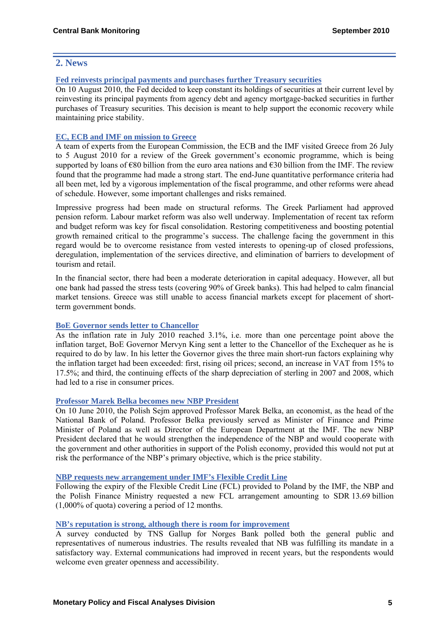# **2. News**

# **[Fed reinvests principal payments and purchases further Treasury securities](http://www.federalreserve.gov/newsevents/press/monetary/20100810a.htm)**

On 10 August 2010, the Fed decided to keep constant its holdings of securities at their current level by reinvesting its principal payments from agency debt and agency mortgage-backed securities in further purchases of Treasury securities. This decision is meant to help support the economic recovery while maintaining price stability.

# **[EC, ECB and IMF on mission to Greece](http://www.ecb.europa.eu/press/pr/date/2010/html/pr100805_1.en.html)**

A team of experts from the European Commission, the ECB and the IMF visited Greece from 26 July to 5 August 2010 for a review of the Greek government's economic programme, which is being supported by loans of  $\epsilon$ 80 billion from the euro area nations and  $\epsilon$ 30 billion from the IMF. The review found that the programme had made a strong start. The end-June quantitative performance criteria had all been met, led by a vigorous implementation of the fiscal programme, and other reforms were ahead of schedule. However, some important challenges and risks remained.

Impressive progress had been made on structural reforms. The Greek Parliament had approved pension reform. Labour market reform was also well underway. Implementation of recent tax reform and budget reform was key for fiscal consolidation. Restoring competitiveness and boosting potential growth remained critical to the programme's success. The challenge facing the government in this regard would be to overcome resistance from vested interests to opening-up of closed professions, deregulation, implementation of the services directive, and elimination of barriers to development of tourism and retail.

In the financial sector, there had been a moderate deterioration in capital adequacy. However, all but one bank had passed the stress tests (covering 90% of Greek banks). This had helped to calm financial market tensions. Greece was still unable to access financial markets except for placement of shortterm government bonds.

# **[BoE Governor sends letter to Chancellor](http://www.bankofengland.co.uk/monetarypolicy/pdf/cpiletter100817.pdf)**

As the inflation rate in July 2010 reached 3.1%, i.e. more than one percentage point above the inflation target, BoE Governor Mervyn King sent a letter to the Chancellor of the Exchequer as he is required to do by law. In his letter the Governor gives the three main short-run factors explaining why the inflation target had been exceeded: first, rising oil prices; second, an increase in VAT from 15% to 17.5%; and third, the continuing effects of the sharp depreciation of sterling in 2007 and 2008, which had led to a rise in consumer prices.

# **[Professor Marek Belka becomes new NBP President](http://www.nbp.pl/homen.aspx?f=/en/aktualnosci/2010/2010_06_11_marek_belka_en.html)**

On 10 June 2010, the Polish Sejm approved Professor Marek Belka, an economist, as the head of the National Bank of Poland. Professor Belka previously served as Minister of Finance and Prime Minister of Poland as well as Director of the European Department at the IMF. The new NBP President declared that he would strengthen the independence of the NBP and would cooperate with the government and other authorities in support of the Polish economy, provided this would not put at risk the performance of the NBP's primary objective, which is the price stability.

# **[NBP requests new arrangement under IMF's Flexible Credit Line](http://www.nbp.pl/homen.aspx?f=/en/aktualnosci/2010/2010_06_16_en.html)**

Following the expiry of the Flexible Credit Line (FCL) provided to Poland by the IMF, the NBP and the Polish Finance Ministry requested a new FCL arrangement amounting to SDR 13.69 billion (1,000% of quota) covering a period of 12 months.

# **[NB's reputation is strong, although there is room for improvement](http://www.norges-bank.no/templates/article____77085.aspx)**

A survey conducted by TNS Gallup for Norges Bank polled both the general public and representatives of numerous industries. The results revealed that NB was fulfilling its mandate in a satisfactory way. External communications had improved in recent years, but the respondents would welcome even greater openness and accessibility.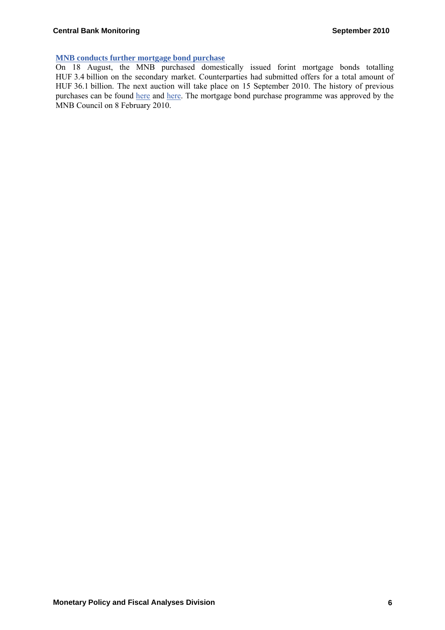# **[MNB conducts further mortgage bond purchase](http://english.mnb.hu/Sajtoszoba/mnben_news/mnben_hir_20100818)**

On 18 August, the MNB purchased domestically issued forint mortgage bonds totalling HUF 3.4 billion on the secondary market. Counterparties had submitted offers for a total amount of HUF 36.1 billion. The next auction will take place on 15 September 2010. The history of previous purchases can be found [here](http://english.mnb.hu/Root/Dokumentumtar/MNB/Monetaris_politika/mnbhu_eszkoztar/mnbhu_eszkoztar_tenderek/mnbhu_jelzaloglevel_vasarlasi_program/Jegybanki_masodpiaci_jelzaloglevel_vasarlas.xls) and [here.](http://english.mnb.hu/Root/Dokumentumtar/MNB/Monetaris_politika/mnbhu_eszkoztar/mnbhu_eszkoztar_tenderek/mnbhu_jelzaloglevel_vasarlasi_program/Jegybanki_elsodleges_piaci_jelzaloglevel_vasarlas.xls) The mortgage bond purchase programme was approved by the MNB Council on 8 February 2010.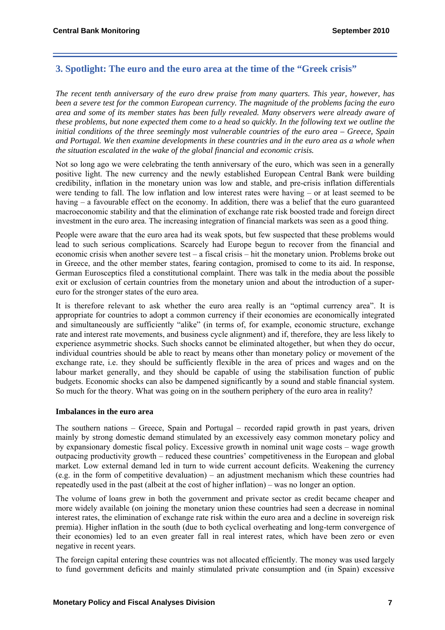# **3. Spotlight: The euro and the euro area at the time of the "Greek crisis"**

*The recent tenth anniversary of the euro drew praise from many quarters. This year, however, has been a severe test for the common European currency. The magnitude of the problems facing the euro area and some of its member states has been fully revealed. Many observers were already aware of these problems, but none expected them come to a head so quickly. In the following text we outline the initial conditions of the three seemingly most vulnerable countries of the euro area – Greece, Spain and Portugal. We then examine developments in these countries and in the euro area as a whole when the situation escalated in the wake of the global financial and economic crisis.* 

Not so long ago we were celebrating the tenth anniversary of the euro, which was seen in a generally positive light. The new currency and the newly established European Central Bank were building credibility, inflation in the monetary union was low and stable, and pre-crisis inflation differentials were tending to fall. The low inflation and low interest rates were having – or at least seemed to be having – a favourable effect on the economy. In addition, there was a belief that the euro guaranteed macroeconomic stability and that the elimination of exchange rate risk boosted trade and foreign direct investment in the euro area. The increasing integration of financial markets was seen as a good thing.

People were aware that the euro area had its weak spots, but few suspected that these problems would lead to such serious complications. Scarcely had Europe begun to recover from the financial and economic crisis when another severe test – a fiscal crisis – hit the monetary union. Problems broke out in Greece, and the other member states, fearing contagion, promised to come to its aid. In response, German Eurosceptics filed a constitutional complaint. There was talk in the media about the possible exit or exclusion of certain countries from the monetary union and about the introduction of a supereuro for the stronger states of the euro area.

It is therefore relevant to ask whether the euro area really is an "optimal currency area". It is appropriate for countries to adopt a common currency if their economies are economically integrated and simultaneously are sufficiently "alike" (in terms of, for example, economic structure, exchange rate and interest rate movements, and business cycle alignment) and if, therefore, they are less likely to experience asymmetric shocks. Such shocks cannot be eliminated altogether, but when they do occur, individual countries should be able to react by means other than monetary policy or movement of the exchange rate, i.e. they should be sufficiently flexible in the area of prices and wages and on the labour market generally, and they should be capable of using the stabilisation function of public budgets. Economic shocks can also be dampened significantly by a sound and stable financial system. So much for the theory. What was going on in the southern periphery of the euro area in reality?

# **Imbalances in the euro area**

The southern nations – Greece, Spain and Portugal – recorded rapid growth in past years, driven mainly by strong domestic demand stimulated by an excessively easy common monetary policy and by expansionary domestic fiscal policy. Excessive growth in nominal unit wage costs – wage growth outpacing productivity growth – reduced these countries' competitiveness in the European and global market. Low external demand led in turn to wide current account deficits. Weakening the currency (e.g. in the form of competitive devaluation) – an adjustment mechanism which these countries had repeatedly used in the past (albeit at the cost of higher inflation) – was no longer an option.

The volume of loans grew in both the government and private sector as credit became cheaper and more widely available (on joining the monetary union these countries had seen a decrease in nominal interest rates, the elimination of exchange rate risk within the euro area and a decline in sovereign risk premia). Higher inflation in the south (due to both cyclical overheating and long-term convergence of their economies) led to an even greater fall in real interest rates, which have been zero or even negative in recent years.

The foreign capital entering these countries was not allocated efficiently. The money was used largely to fund government deficits and mainly stimulated private consumption and (in Spain) excessive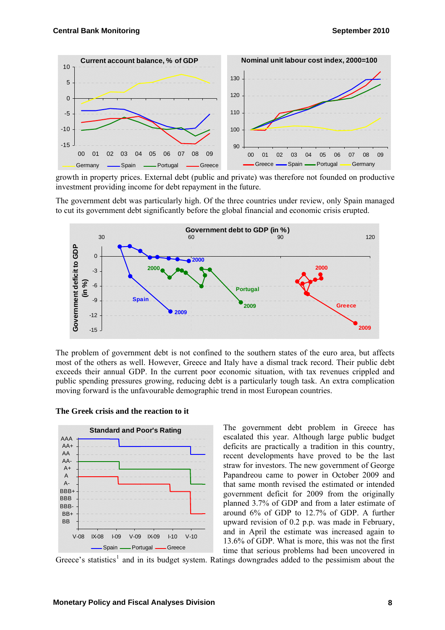<span id="page-7-0"></span>

growth in property prices. External debt (public and private) was therefore not founded on productive investment providing income for debt repayment in the future.

The government debt was particularly high. Of the three countries under review, only Spain managed to cut its government debt significantly before the global financial and economic crisis erupted.



The problem of government debt is not confined to the southern states of the euro area, but affects most of the others as well. However, Greece and Italy have a dismal track record. Their public debt exceeds their annual GDP. In the current poor economic situation, with tax revenues crippled and public spending pressures growing, reducing debt is a particularly tough task. An extra complication moving forward is the unfavourable demographic trend in most European countries.



**The Greek crisis and the reaction to it**

The government debt problem in Greece has escalated this year. Although large public budget deficits are practically a tradition in this country, recent developments have proved to be the last straw for investors. The new government of George Papandreou came to power in October 2009 and that same month revised the estimated or intended government deficit for 2009 from the originally planned 3.7% of GDP and from a later estimate of around 6% of GDP to 12.7% of GDP. A further upward revision of 0.2 p.p. was made in February, and in April the estimate was increased again to 13.6% of GDP. What is more, this was not the first time that serious problems had been uncovered in

Greece's statistics<sup>[1](#page-7-0)</sup> and in its budget system. Ratings downgrades added to the pessimism about the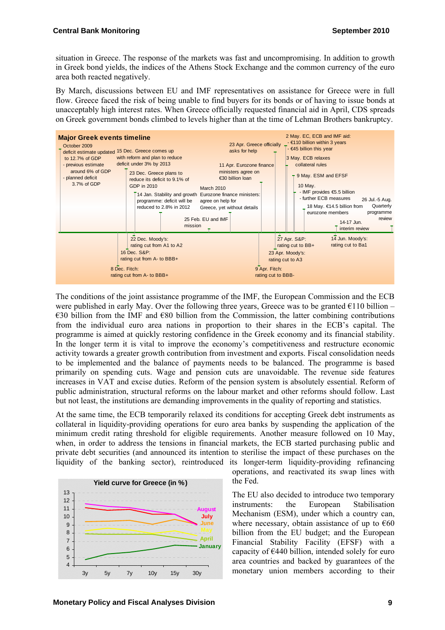situation in Greece. The response of the markets was fast and uncompromising. In addition to growth in Greek bond yields, the indices of the Athens Stock Exchange and the common currency of the euro area both reacted negatively.

By March, discussions between EU and IMF representatives on assistance for Greece were in full flow. Greece faced the risk of being unable to find buyers for its bonds or of having to issue bonds at unacceptably high interest rates. When Greece officially requested financial aid in April, CDS spreads on Greek government bonds climbed to levels higher than at the time of Lehman Brothers bankruptcy.



The conditions of the joint assistance programme of the IMF, the European Commission and the ECB were published in early May. Over the following three years, Greece was to be granted  $E110$  billion –  $\epsilon$ 30 billion from the IMF and  $\epsilon$ 80 billion from the Commission, the latter combining contributions from the individual euro area nations in proportion to their shares in the ECB's capital. The programme is aimed at quickly restoring confidence in the Greek economy and its financial stability. In the longer term it is vital to improve the economy's competitiveness and restructure economic activity towards a greater growth contribution from investment and exports. Fiscal consolidation needs to be implemented and the balance of payments needs to be balanced. The programme is based primarily on spending cuts. Wage and pension cuts are unavoidable. The revenue side features increases in VAT and excise duties. Reform of the pension system is absolutely essential. Reform of public administration, structural reforms on the labour market and other reforms should follow. Last but not least, the institutions are demanding improvements in the quality of reporting and statistics.

At the same time, the ECB temporarily relaxed its conditions for accepting Greek debt instruments as collateral in liquidity-providing operations for euro area banks by suspending the application of the minimum credit rating threshold for eligible requirements. Another measure followed on 10 May, when, in order to address the tensions in financial markets, the ECB started purchasing public and private debt securities (and announced its intention to sterilise the impact of these purchases on the liquidity of the banking sector), reintroduced its longer-term liquidity-providing refinancing



operations, and reactivated its swap lines with the Fed.

The EU also decided to introduce two temporary instruments: the European Stabilisation Mechanism (ESM), under which a country can, where necessary, obtain assistance of up to  $\epsilon$ 60 billion from the EU budget; and the European Financial Stability Facility (EFSF) with a capacity of  $\epsilon$ 440 billion, intended solely for euro area countries and backed by guarantees of the monetary union members according to their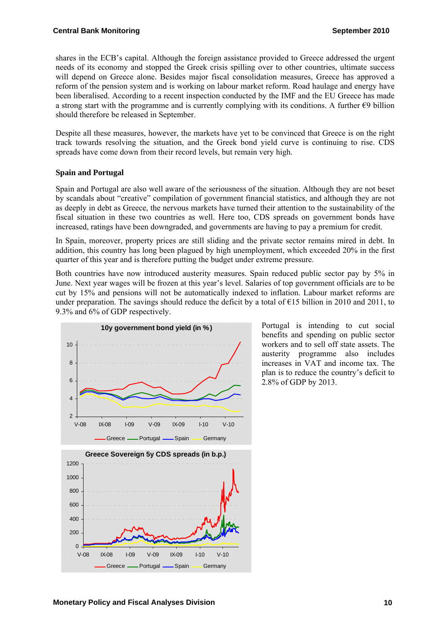shares in the ECB's capital. Although the foreign assistance provided to Greece addressed the urgent needs of its economy and stopped the Greek crisis spilling over to other countries, ultimate success will depend on Greece alone. Besides major fiscal consolidation measures, Greece has approved a reform of the pension system and is working on labour market reform. Road haulage and energy have been liberalised. According to a recent inspection conducted by the IMF and the EU Greece has made a strong start with the programme and is currently complying with its conditions. A further  $\epsilon$ 9 billion should therefore be released in September.

Despite all these measures, however, the markets have yet to be convinced that Greece is on the right track towards resolving the situation, and the Greek bond yield curve is continuing to rise. CDS spreads have come down from their record levels, but remain very high.

# **Spain and Portugal**

Spain and Portugal are also well aware of the seriousness of the situation. Although they are not beset by scandals about "creative" compilation of government financial statistics, and although they are not as deeply in debt as Greece, the nervous markets have turned their attention to the sustainability of the fiscal situation in these two countries as well. Here too, CDS spreads on government bonds have increased, ratings have been downgraded, and governments are having to pay a premium for credit.

In Spain, moreover, property prices are still sliding and the private sector remains mired in debt. In addition, this country has long been plagued by high unemployment, which exceeded 20% in the first quarter of this year and is therefore putting the budget under extreme pressure.

Both countries have now introduced austerity measures. Spain reduced public sector pay by 5% in June. Next year wages will be frozen at this year's level. Salaries of top government officials are to be cut by 15% and pensions will not be automatically indexed to inflation. Labour market reforms are under preparation. The savings should reduce the deficit by a total of  $\epsilon$ 15 billion in 2010 and 2011, to 9.3% and 6% of GDP respectively.



Portugal is intending to cut social benefits and spending on public sector workers and to sell off state assets. The austerity programme also includes increases in VAT and income tax. The plan is to reduce the country's deficit to 2.8% of GDP by 2013.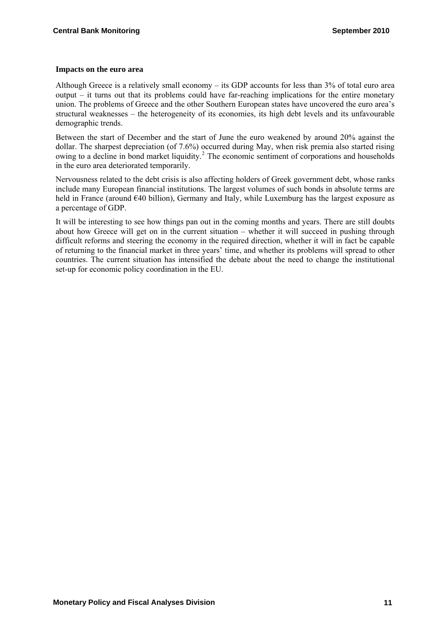#### <span id="page-10-0"></span>**Impacts on the euro area**

Although Greece is a relatively small economy – its GDP accounts for less than 3% of total euro area output – it turns out that its problems could have far-reaching implications for the entire monetary union. The problems of Greece and the other Southern European states have uncovered the euro area's structural weaknesses – the heterogeneity of its economies, its high debt levels and its unfavourable demographic trends.

Between the start of December and the start of June the euro weakened by around 20% against the dollar. The sharpest depreciation (of 7.6%) occurred during May, when risk premia also started rising owing to a decline in bond market liquidity.<sup>[2](#page-10-0)</sup> The economic sentiment of corporations and households in the euro area deteriorated temporarily.

Nervousness related to the debt crisis is also affecting holders of Greek government debt, whose ranks include many European financial institutions. The largest volumes of such bonds in absolute terms are held in France (around €40 billion), Germany and Italy, while Luxemburg has the largest exposure as a percentage of GDP.

It will be interesting to see how things pan out in the coming months and years. There are still doubts about how Greece will get on in the current situation – whether it will succeed in pushing through difficult reforms and steering the economy in the required direction, whether it will in fact be capable of returning to the financial market in three years' time, and whether its problems will spread to other countries. The current situation has intensified the debate about the need to change the institutional set-up for economic policy coordination in the EU.